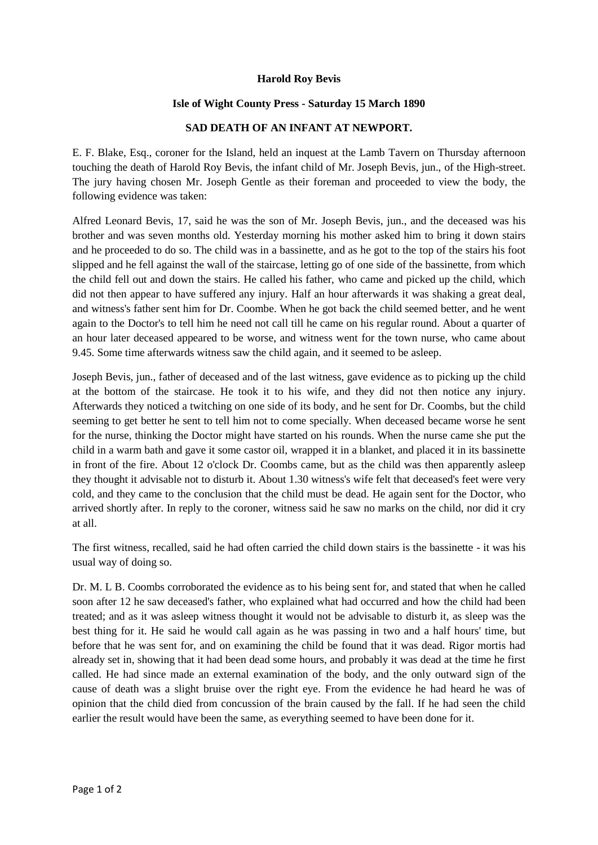## **Harold Roy Bevis**

## **Isle of Wight County Press - Saturday 15 March 1890**

## **SAD DEATH OF AN INFANT AT NEWPORT.**

E. F. Blake, Esq., coroner for the Island, held an inquest at the Lamb Tavern on Thursday afternoon touching the death of Harold Roy Bevis, the infant child of Mr. Joseph Bevis, jun., of the High-street. The jury having chosen Mr. Joseph Gentle as their foreman and proceeded to view the body, the following evidence was taken:

Alfred Leonard Bevis, 17, said he was the son of Mr. Joseph Bevis, jun., and the deceased was his brother and was seven months old. Yesterday morning his mother asked him to bring it down stairs and he proceeded to do so. The child was in a bassinette, and as he got to the top of the stairs his foot slipped and he fell against the wall of the staircase, letting go of one side of the bassinette, from which the child fell out and down the stairs. He called his father, who came and picked up the child, which did not then appear to have suffered any injury. Half an hour afterwards it was shaking a great deal, and witness's father sent him for Dr. Coombe. When he got back the child seemed better, and he went again to the Doctor's to tell him he need not call till he came on his regular round. About a quarter of an hour later deceased appeared to be worse, and witness went for the town nurse, who came about 9.45. Some time afterwards witness saw the child again, and it seemed to be asleep.

Joseph Bevis, jun., father of deceased and of the last witness, gave evidence as to picking up the child at the bottom of the staircase. He took it to his wife, and they did not then notice any injury. Afterwards they noticed a twitching on one side of its body, and he sent for Dr. Coombs, but the child seeming to get better he sent to tell him not to come specially. When deceased became worse he sent for the nurse, thinking the Doctor might have started on his rounds. When the nurse came she put the child in a warm bath and gave it some castor oil, wrapped it in a blanket, and placed it in its bassinette in front of the fire. About 12 o'clock Dr. Coombs came, but as the child was then apparently asleep they thought it advisable not to disturb it. About 1.30 witness's wife felt that deceased's feet were very cold, and they came to the conclusion that the child must be dead. He again sent for the Doctor, who arrived shortly after. In reply to the coroner, witness said he saw no marks on the child, nor did it cry at all.

The first witness, recalled, said he had often carried the child down stairs is the bassinette - it was his usual way of doing so.

Dr. M. L B. Coombs corroborated the evidence as to his being sent for, and stated that when he called soon after 12 he saw deceased's father, who explained what had occurred and how the child had been treated; and as it was asleep witness thought it would not be advisable to disturb it, as sleep was the best thing for it. He said he would call again as he was passing in two and a half hours' time, but before that he was sent for, and on examining the child be found that it was dead. Rigor mortis had already set in, showing that it had been dead some hours, and probably it was dead at the time he first called. He had since made an external examination of the body, and the only outward sign of the cause of death was a slight bruise over the right eye. From the evidence he had heard he was of opinion that the child died from concussion of the brain caused by the fall. If he had seen the child earlier the result would have been the same, as everything seemed to have been done for it.